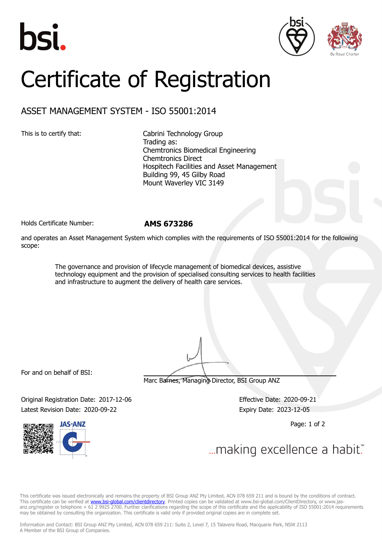





## Certificate of Registration

## ASSET MANAGEMENT SYSTEM - ISO 55001:2014

This is to certify that: Cabrini Technology Group Trading as: Chemtronics Biomedical Engineering Chemtronics Direct Hospitech Facilities and Asset Management Building 99, 45 Gilby Road Mount Waverley VIC 3149

Holds Certificate Number: **AMS 673286**

and operates an Asset Management System which complies with the requirements of ISO 55001:2014 for the following scope:

> The governance and provision of lifecycle management of biomedical devices, assistive technology equipment and the provision of specialised consulting services to health facilities and infrastructure to augment the delivery of health care services.

For and on behalf of BSI:

Marc Barnes, Managing Director, BSI Group ANZ

Original Registration Date: 2017-12-06 Effective Date: 2020-09-21 Latest Revision Date: 2020-09-22 Expiry Date: 2023-12-05

Page: 1 of 2



... making excellence a habit."

This certificate was issued electronically and remains the property of BSI Group ANZ Pty Limited, ACN 078 659 211 and is bound by the conditions of contract. This certificate can be verified at <u>www.bsi**-global.com/clientdirectory**</u>. Printed copies can be validated at www.bsi-global.com/ClientDirectory, or www.jasanz.org/register or telephone + 61 2 9925 2700. Further clarifications regarding the scope of this certificate and the applicability of ISO 55001:2014 requirements may be obtained by consulting the organization. This certificate is valid only if provided original copies are in complete set.

Information and Contact: BSI Group ANZ Pty Limited, ACN 078 659 211: Suite 2, Level 7, 15 Talavera Road, Macquarie Park, NSW 2113 A Member of the BSI Group of Companies.